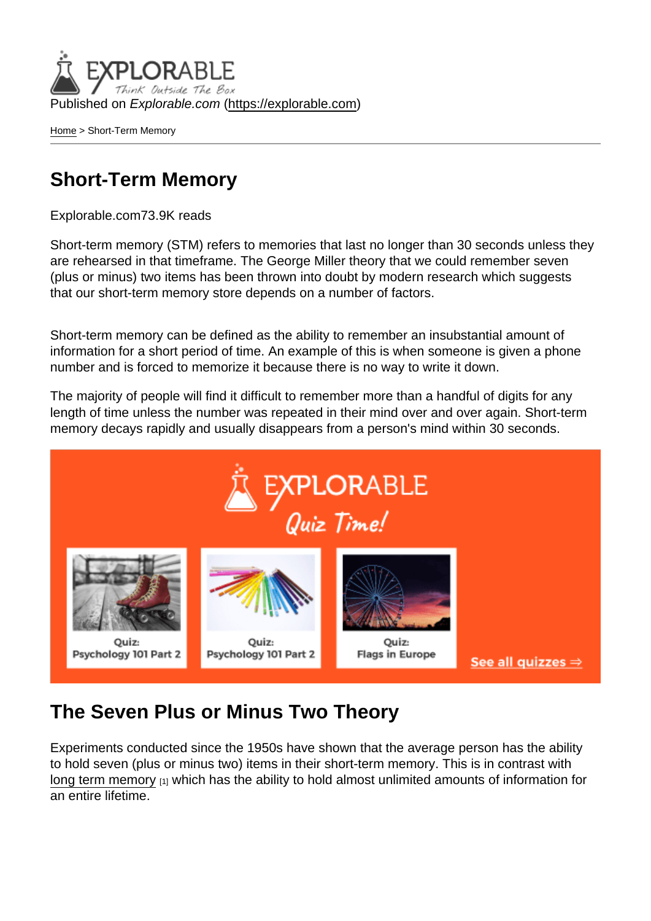Published on Explorable.com (<https://explorable.com>)

[Home](https://explorable.com/) > Short-Term Memory

#### Short-Term Memory

Explorable.com73.9K reads

Short-term memory (STM) refers to memories that last no longer than 30 seconds unless they are rehearsed in that timeframe. The George Miller theory that we could remember seven (plus or minus) two items has been thrown into doubt by modern research which suggests that our short-term memory store depends on a number of factors.

Short-term memory can be defined as the ability to remember an insubstantial amount of information for a short period of time. An example of this is when someone is given a phone number and is forced to memorize it because there is no way to write it down.

The majority of people will find it difficult to remember more than a handful of digits for any length of time unless the number was repeated in their mind over and over again. Short-term memory decays rapidly and usually disappears from a person's mind within 30 seconds.

#### The Seven Plus or Minus Two Theory

Experiments conducted since the 1950s have shown that the average person has the ability to hold seven (plus or minus two) items in their short-term memory. This is in contrast with [long term memory](https://explorable.com/long-term-memory) [1] which has the ability to hold almost unlimited amounts of information for an entire lifetime.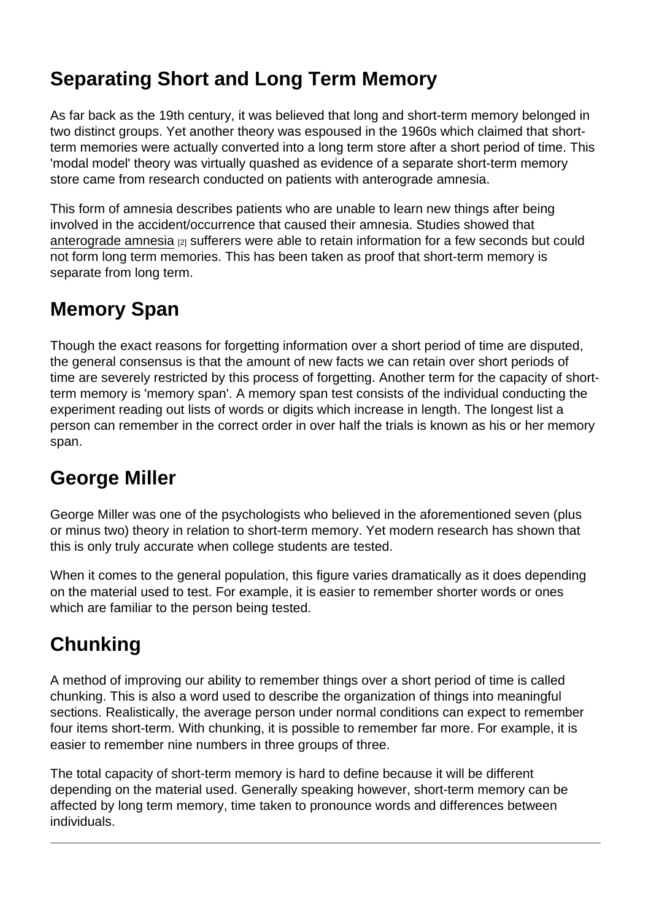# Separating Short and Long Term Memory

As far back as the 19th century, it was believed that long and short-term memory belonged in two distinct groups. Yet another theory was espoused in the 1960s which claimed that shortterm memories were actually converted into a long term store after a short period of time. This 'modal model' theory was virtually quashed as evidence of a separate short-term memory store came from research conducted on patients with anterograde amnesia.

This form of amnesia describes patients who are unable to learn new things after being involved in the accident/occurrence that caused their amnesia. Studies showed that [anterograde amnesia](https://explorable.com/retrospective-memory) [2] sufferers were able to retain information for a few seconds but could not form long term memories. This has been taken as proof that short-term memory is separate from long term.

# Memory Span

Though the exact reasons for forgetting information over a short period of time are disputed, the general consensus is that the amount of new facts we can retain over short periods of time are severely restricted by this process of forgetting. Another term for the capacity of shortterm memory is 'memory span'. A memory span test consists of the individual conducting the experiment reading out lists of words or digits which increase in length. The longest list a person can remember in the correct order in over half the trials is known as his or her memory span.

# George Miller

George Miller was one of the psychologists who believed in the aforementioned seven (plus or minus two) theory in relation to short-term memory. Yet modern research has shown that this is only truly accurate when college students are tested.

When it comes to the general population, this figure varies dramatically as it does depending on the material used to test. For example, it is easier to remember shorter words or ones which are familiar to the person being tested.

# **Chunking**

A method of improving our ability to remember things over a short period of time is called chunking. This is also a word used to describe the organization of things into meaningful sections. Realistically, the average person under normal conditions can expect to remember four items short-term. With chunking, it is possible to remember far more. For example, it is easier to remember nine numbers in three groups of three.

The total capacity of short-term memory is hard to define because it will be different depending on the material used. Generally speaking however, short-term memory can be affected by long term memory, time taken to pronounce words and differences between individuals.